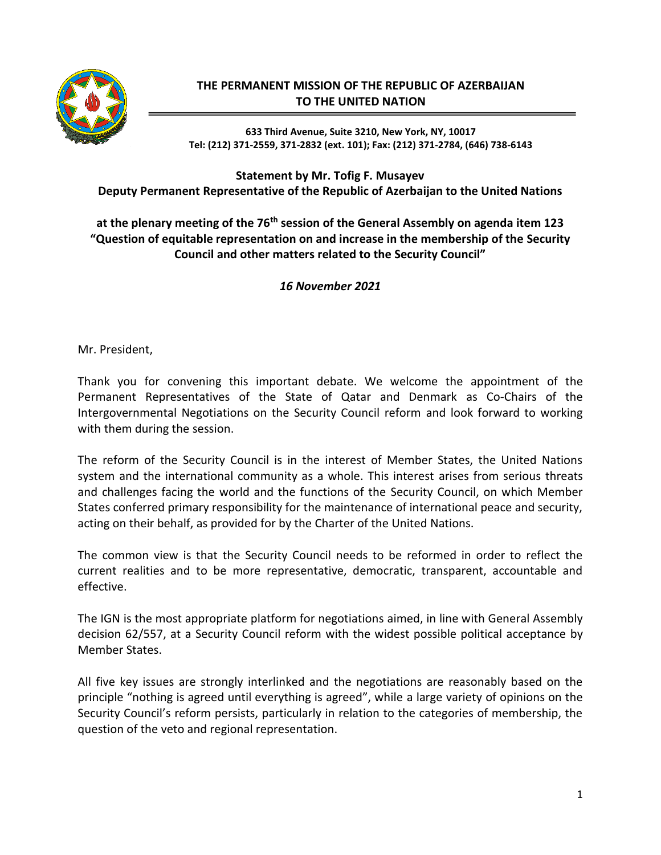

## **THE PERMANENT MISSION OF THE REPUBLIC OF AZERBAIJAN TO THE UNITED NATION**

**633 Third Avenue, Suite 3210, New York, NY, 10017 Tel: (212) 371-2559, 371-2832 (ext. 101); Fax: (212) 371-2784, (646) 738-6143**

## **Statement by Mr. Tofig F. Musayev Deputy Permanent Representative of the Republic of Azerbaijan to the United Nations**

## **at the plenary meeting of the 76th session of the General Assembly on agenda item 123 "Question of equitable representation on and increase in the membership of the Security Council and other matters related to the Security Council"**

*16 November 2021*

Mr. President,

Thank you for convening this important debate. We welcome the appointment of the Permanent Representatives of the State of Qatar and Denmark as Co-Chairs of the Intergovernmental Negotiations on the Security Council reform and look forward to working with them during the session.

The reform of the Security Council is in the interest of Member States, the United Nations system and the international community as a whole. This interest arises from serious threats and challenges facing the world and the functions of the Security Council, on which Member States conferred primary responsibility for the maintenance of international peace and security, acting on their behalf, as provided for by the Charter of the United Nations.

The common view is that the Security Council needs to be reformed in order to reflect the current realities and to be more representative, democratic, transparent, accountable and effective.

The IGN is the most appropriate platform for negotiations aimed, in line with General Assembly decision 62/557, at a Security Council reform with the widest possible political acceptance by Member States.

All five key issues are strongly interlinked and the negotiations are reasonably based on the principle "nothing is agreed until everything is agreed", while a large variety of opinions on the Security Council's reform persists, particularly in relation to the categories of membership, the question of the veto and regional representation.